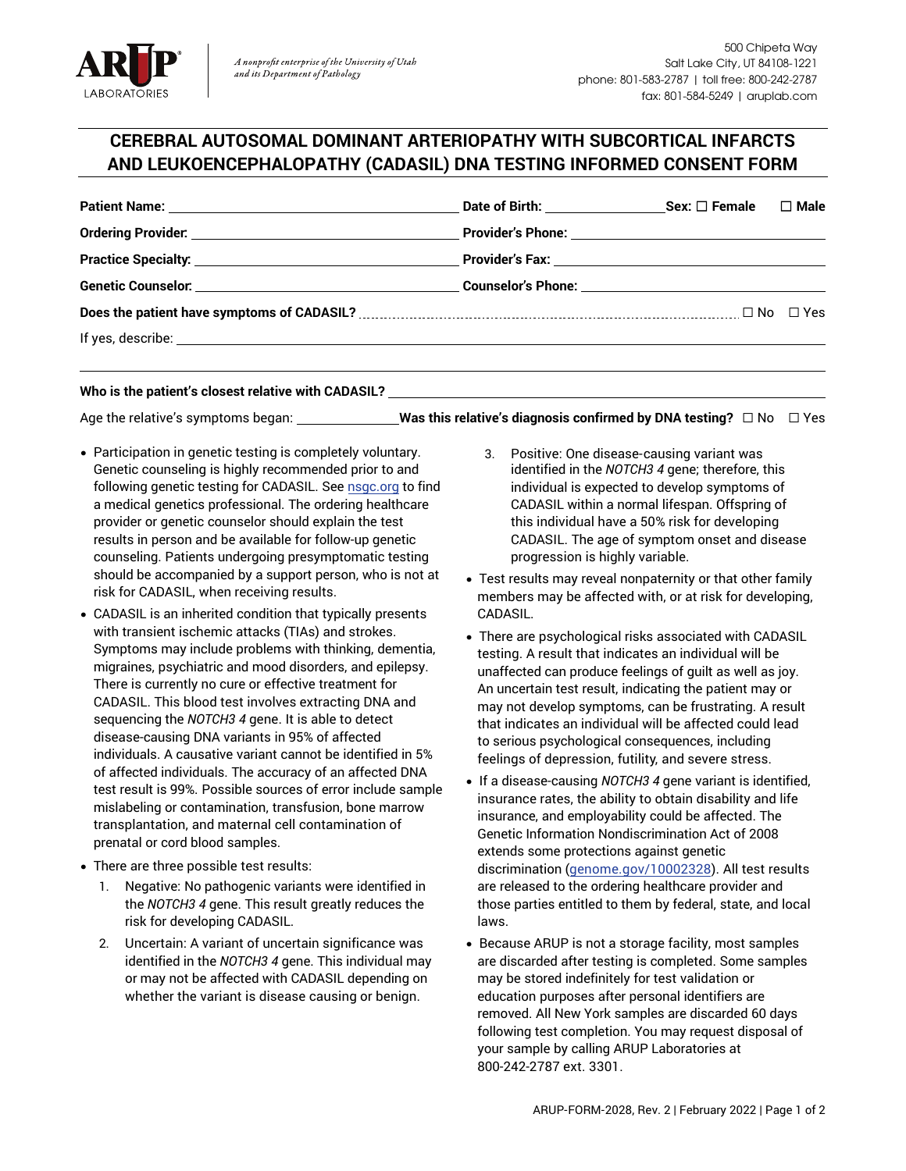

## **CEREBRAL AUTOSOMAL DOMINANT ARTERIOPATHY WITH SUBCORTICAL INFARCTS AND LEUKOENCEPHALOPATHY (CADASIL) DNA TESTING INFORMED CONSENT FORM**

| $\square$ Male |
|----------------|
|                |
|                |
|                |
| □ No □ Yes     |
|                |

**Who is the patient's closest relative with CADASIL?** 

Age the relative's symptoms began: **Was this relative's diagnosis confirmed by DNA testing?** ☐ No ☐ Yes

- Participation in genetic testing is completely voluntary. Genetic counseling is highly recommended prior to and following genetic testing for CADASIL. See [nsgc.org](http://www.nsgc.org/) to find a medical genetics professional. The ordering healthcare provider or genetic counselor should explain the test results in person and be available for follow-up genetic counseling. Patients undergoing presymptomatic testing should be accompanied by a support person, who is not at risk for CADASIL, when receiving results.
- CADASIL is an inherited condition that typically presents with transient ischemic attacks (TIAs) and strokes. Symptoms may include problems with thinking, dementia, migraines, psychiatric and mood disorders, and epilepsy. There is currently no cure or effective treatment for CADASIL. This blood test involves extracting DNA and sequencing the *NOTCH3 4* gene. It is able to detect disease-causing DNA variants in 95% of affected individuals. A causative variant cannot be identified in 5% of affected individuals. The accuracy of an affected DNA test result is 99%. Possible sources of error include sample mislabeling or contamination, transfusion, bone marrow transplantation, and maternal cell contamination of prenatal or cord blood samples.
- There are three possible test results:
	- 1. Negative: No pathogenic variants were identified in the *NOTCH3 4* gene. This result greatly reduces the risk for developing CADASIL.
	- 2. Uncertain: A variant of uncertain significance was identified in the *NOTCH3 4* gene. This individual may or may not be affected with CADASIL depending on whether the variant is disease causing or benign.
- 3. Positive: One disease-causing variant was identified in the *NOTCH3 4* gene; therefore, this individual is expected to develop symptoms of CADASIL within a normal lifespan. Offspring of this individual have a 50% risk for developing CADASIL. The age of symptom onset and disease progression is highly variable.
- Test results may reveal nonpaternity or that other family members may be affected with, or at risk for developing, CADASIL.
- There are psychological risks associated with CADASIL testing. A result that indicates an individual will be unaffected can produce feelings of guilt as well as joy. An uncertain test result, indicating the patient may or may not develop symptoms, can be frustrating. A result that indicates an individual will be affected could lead to serious psychological consequences, including feelings of depression, futility, and severe stress.
- If a disease-causing *NOTCH3 4* gene variant is identified, insurance rates, the ability to obtain disability and life insurance, and employability could be affected. The Genetic Information Nondiscrimination Act of 2008 extends some protections against genetic discrimination [\(genome.gov/10002328\).](http://www.genome.gov/10002328) All test results are released to the ordering healthcare provider and those parties entitled to them by federal, state, and local laws.
- Because ARUP is not a storage facility, most samples are discarded after testing is completed. Some samples may be stored indefinitely for test validation or education purposes after personal identifiers are removed. All New York samples are discarded 60 days following test completion. You may request disposal of your sample by calling ARUP Laboratories at 800-242-2787 ext. 3301.